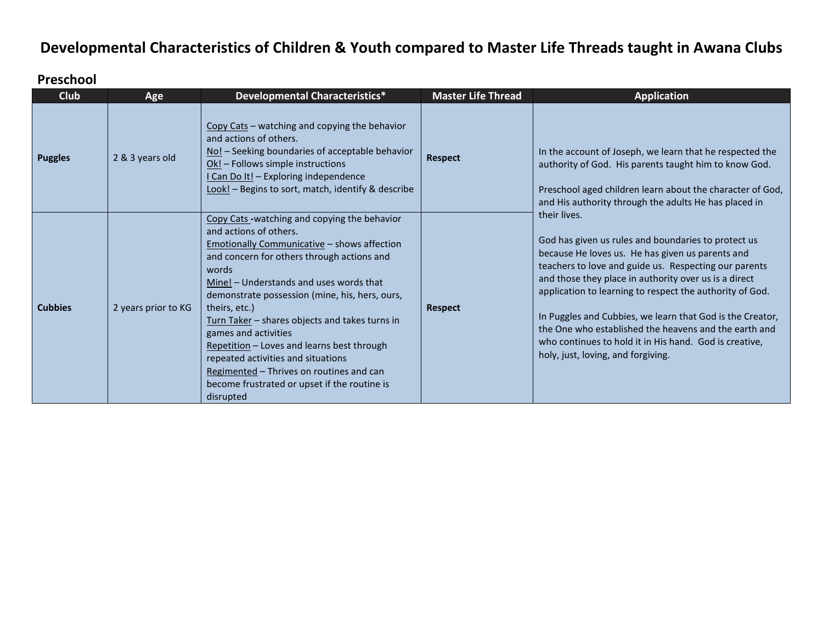# **Developmental Characteristics of Children & Youth compared to Master Life Threads taught in Awana Clubs**

#### **Preschool**

| <b>Club</b>    | Age                 | <b>Developmental Characteristics*</b>                                                                                                                                                                                                                                                                                                                                                                                                                                                                                                                                   | <b>Master Life Thread</b> | <b>Application</b>                                                                                                                                                                                                                                                                                                                                                                                                                                                                                                                                                                                                                                                                                                                                                     |
|----------------|---------------------|-------------------------------------------------------------------------------------------------------------------------------------------------------------------------------------------------------------------------------------------------------------------------------------------------------------------------------------------------------------------------------------------------------------------------------------------------------------------------------------------------------------------------------------------------------------------------|---------------------------|------------------------------------------------------------------------------------------------------------------------------------------------------------------------------------------------------------------------------------------------------------------------------------------------------------------------------------------------------------------------------------------------------------------------------------------------------------------------------------------------------------------------------------------------------------------------------------------------------------------------------------------------------------------------------------------------------------------------------------------------------------------------|
| <b>Puggles</b> | 2 & 3 years old     | Copy Cats - watching and copying the behavior<br>and actions of others.<br>No! - Seeking boundaries of acceptable behavior<br>Ok! - Follows simple instructions<br>I Can Do It! - Exploring independence<br>Look! - Begins to sort, match, identify & describe                                                                                                                                                                                                                                                                                                          | <b>Respect</b>            | In the account of Joseph, we learn that he respected the<br>authority of God. His parents taught him to know God.<br>Preschool aged children learn about the character of God,<br>and His authority through the adults He has placed in<br>their lives.<br>God has given us rules and boundaries to protect us<br>because He loves us. He has given us parents and<br>teachers to love and guide us. Respecting our parents<br>and those they place in authority over us is a direct<br>application to learning to respect the authority of God.<br>In Puggles and Cubbies, we learn that God is the Creator,<br>the One who established the heavens and the earth and<br>who continues to hold it in His hand. God is creative,<br>holy, just, loving, and forgiving. |
| <b>Cubbies</b> | 2 years prior to KG | Copy Cats-watching and copying the behavior<br>and actions of others.<br><b>Emotionally Communicative - shows affection</b><br>and concern for others through actions and<br>words<br>Mine! - Understands and uses words that<br>demonstrate possession (mine, his, hers, ours,<br>theirs, etc.)<br>Turn Taker - shares objects and takes turns in<br>games and activities<br>Repetition - Loves and learns best through<br>repeated activities and situations<br>Regimented - Thrives on routines and can<br>become frustrated or upset if the routine is<br>disrupted | <b>Respect</b>            |                                                                                                                                                                                                                                                                                                                                                                                                                                                                                                                                                                                                                                                                                                                                                                        |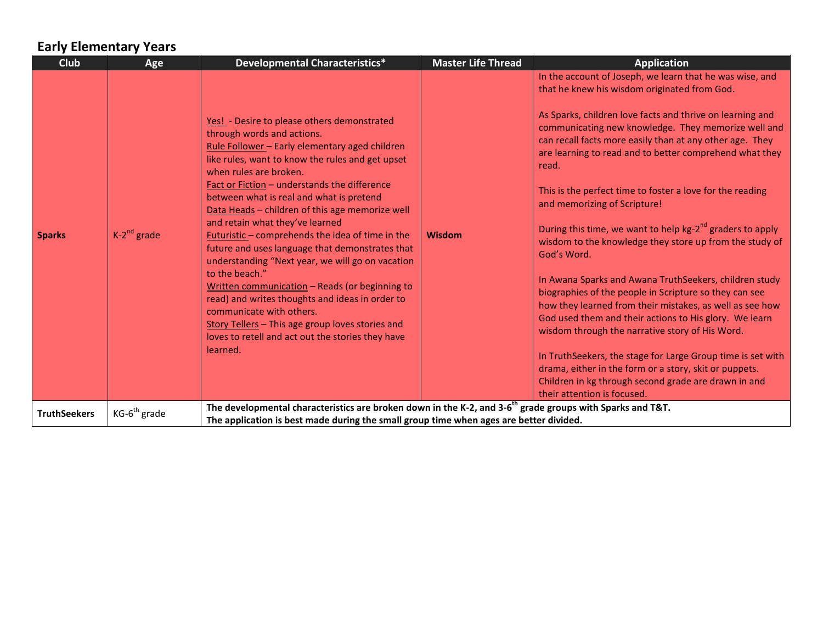## **Early Elementary Years**

| <b>Club</b>         | Age              | <b>Developmental Characteristics*</b>                                                                                                                                                                                                                                                                                                                                                                                                                                                                                                                                                                                                                                                                                                                                                                                          | <b>Master Life Thread</b> | <b>Application</b>                                                                                                                                                                                                                                                                                                                                                                                                                                                                                                                                                                                                                                                                                                                                                                                                                                                                                                                                                                                                                                                                                                        |
|---------------------|------------------|--------------------------------------------------------------------------------------------------------------------------------------------------------------------------------------------------------------------------------------------------------------------------------------------------------------------------------------------------------------------------------------------------------------------------------------------------------------------------------------------------------------------------------------------------------------------------------------------------------------------------------------------------------------------------------------------------------------------------------------------------------------------------------------------------------------------------------|---------------------------|---------------------------------------------------------------------------------------------------------------------------------------------------------------------------------------------------------------------------------------------------------------------------------------------------------------------------------------------------------------------------------------------------------------------------------------------------------------------------------------------------------------------------------------------------------------------------------------------------------------------------------------------------------------------------------------------------------------------------------------------------------------------------------------------------------------------------------------------------------------------------------------------------------------------------------------------------------------------------------------------------------------------------------------------------------------------------------------------------------------------------|
| <b>Sparks</b>       | $K-2^{nd}$ grade | Yes! - Desire to please others demonstrated<br>through words and actions.<br>Rule Follower - Early elementary aged children<br>like rules, want to know the rules and get upset<br>when rules are broken.<br>Fact or Fiction - understands the difference<br>between what is real and what is pretend<br>Data Heads - children of this age memorize well<br>and retain what they've learned<br>Futuristic - comprehends the idea of time in the<br>future and uses language that demonstrates that<br>understanding "Next year, we will go on vacation<br>to the beach."<br>Written communication - Reads (or beginning to<br>read) and writes thoughts and ideas in order to<br>communicate with others.<br>Story Tellers - This age group loves stories and<br>loves to retell and act out the stories they have<br>learned. | Wisdom                    | In the account of Joseph, we learn that he was wise, and<br>that he knew his wisdom originated from God.<br>As Sparks, children love facts and thrive on learning and<br>communicating new knowledge. They memorize well and<br>can recall facts more easily than at any other age. They<br>are learning to read and to better comprehend what they<br>read.<br>This is the perfect time to foster a love for the reading<br>and memorizing of Scripture!<br>During this time, we want to help kg-2 <sup>nd</sup> graders to apply<br>wisdom to the knowledge they store up from the study of<br>God's Word.<br>In Awana Sparks and Awana TruthSeekers, children study<br>biographies of the people in Scripture so they can see<br>how they learned from their mistakes, as well as see how<br>God used them and their actions to His glory. We learn<br>wisdom through the narrative story of His Word.<br>In TruthSeekers, the stage for Large Group time is set with<br>drama, either in the form or a story, skit or puppets.<br>Children in kg through second grade are drawn in and<br>their attention is focused. |
| <b>TruthSeekers</b> | $KG-6th$ grade   | The developmental characteristics are broken down in the K-2, and 3-6 <sup>th</sup> grade groups with Sparks and T&T.<br>The application is best made during the small group time when ages are better divided.                                                                                                                                                                                                                                                                                                                                                                                                                                                                                                                                                                                                                |                           |                                                                                                                                                                                                                                                                                                                                                                                                                                                                                                                                                                                                                                                                                                                                                                                                                                                                                                                                                                                                                                                                                                                           |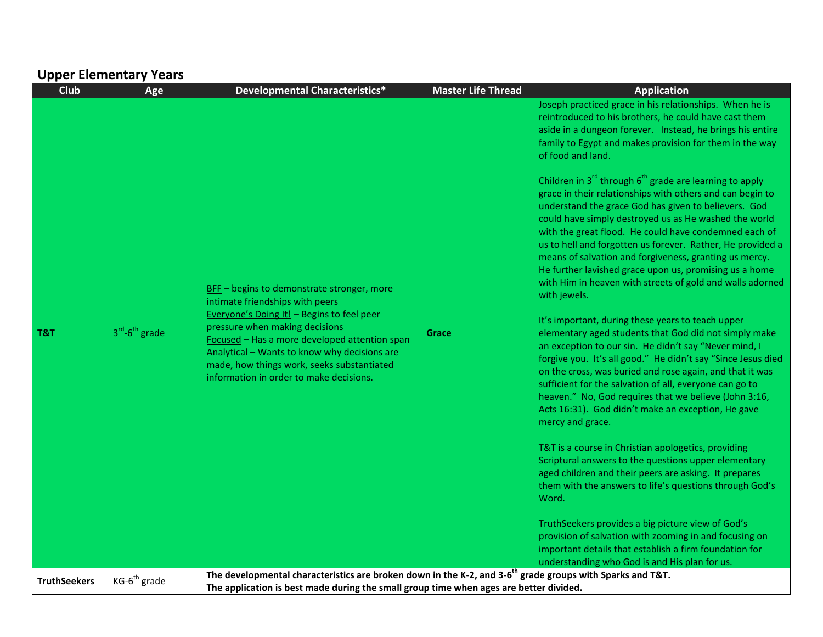## **Upper Elementary Years**

| <b>Club</b>         | Age                      | Developmental Characteristics*                                                                                                                                                                                                                                                                                                                          | <b>Master Life Thread</b> | <b>Application</b>                                                                                                                                                                                                                                                                                                                                                                                                                                                                                                                                                                                                                                                                                                                                                                                                                                                                                                                                                                                                                                                                                                                                                                                                                                                                                                                                                                                                                                                                                                                                                                                                                                                                                                                                                                                              |
|---------------------|--------------------------|---------------------------------------------------------------------------------------------------------------------------------------------------------------------------------------------------------------------------------------------------------------------------------------------------------------------------------------------------------|---------------------------|-----------------------------------------------------------------------------------------------------------------------------------------------------------------------------------------------------------------------------------------------------------------------------------------------------------------------------------------------------------------------------------------------------------------------------------------------------------------------------------------------------------------------------------------------------------------------------------------------------------------------------------------------------------------------------------------------------------------------------------------------------------------------------------------------------------------------------------------------------------------------------------------------------------------------------------------------------------------------------------------------------------------------------------------------------------------------------------------------------------------------------------------------------------------------------------------------------------------------------------------------------------------------------------------------------------------------------------------------------------------------------------------------------------------------------------------------------------------------------------------------------------------------------------------------------------------------------------------------------------------------------------------------------------------------------------------------------------------------------------------------------------------------------------------------------------------|
| T&T                 | $3rd-6th$ grade          | BFF - begins to demonstrate stronger, more<br>intimate friendships with peers<br>Everyone's Doing It! - Begins to feel peer<br>pressure when making decisions<br>Focused - Has a more developed attention span<br>Analytical - Wants to know why decisions are<br>made, how things work, seeks substantiated<br>information in order to make decisions. | Grace                     | Joseph practiced grace in his relationships. When he is<br>reintroduced to his brothers, he could have cast them<br>aside in a dungeon forever. Instead, he brings his entire<br>family to Egypt and makes provision for them in the way<br>of food and land.<br>Children in $3^{rd}$ through $6^{th}$ grade are learning to apply<br>grace in their relationships with others and can begin to<br>understand the grace God has given to believers. God<br>could have simply destroyed us as He washed the world<br>with the great flood. He could have condemned each of<br>us to hell and forgotten us forever. Rather, He provided a<br>means of salvation and forgiveness, granting us mercy.<br>He further lavished grace upon us, promising us a home<br>with Him in heaven with streets of gold and walls adorned<br>with jewels.<br>It's important, during these years to teach upper<br>elementary aged students that God did not simply make<br>an exception to our sin. He didn't say "Never mind, I<br>forgive you. It's all good." He didn't say "Since Jesus died<br>on the cross, was buried and rose again, and that it was<br>sufficient for the salvation of all, everyone can go to<br>heaven." No, God requires that we believe (John 3:16,<br>Acts 16:31). God didn't make an exception, He gave<br>mercy and grace.<br>T&T is a course in Christian apologetics, providing<br>Scriptural answers to the questions upper elementary<br>aged children and their peers are asking. It prepares<br>them with the answers to life's questions through God's<br>Word.<br>TruthSeekers provides a big picture view of God's<br>provision of salvation with zooming in and focusing on<br>important details that establish a firm foundation for<br>understanding who God is and His plan for us. |
| <b>TruthSeekers</b> | KG-6 <sup>th</sup> grade | The developmental characteristics are broken down in the K-2, and 3-6 <sup>th</sup> grade groups with Sparks and T&T.<br>The application is best made during the small group time when ages are better divided.                                                                                                                                         |                           |                                                                                                                                                                                                                                                                                                                                                                                                                                                                                                                                                                                                                                                                                                                                                                                                                                                                                                                                                                                                                                                                                                                                                                                                                                                                                                                                                                                                                                                                                                                                                                                                                                                                                                                                                                                                                 |